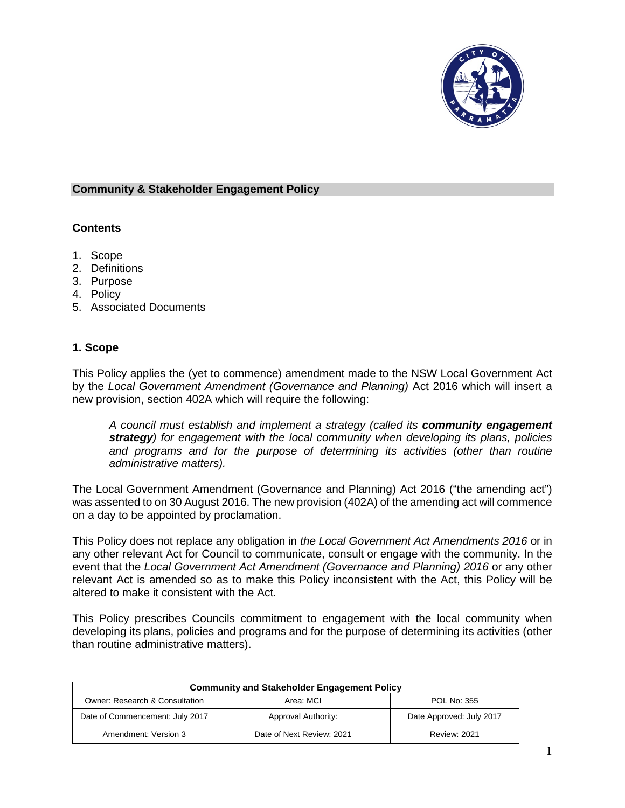

#### **Community & Stakeholder Engagement Policy**

## **Contents**

- 1. Scope
- 2. Definitions
- 3. Purpose
- 4. Policy
- 5. Associated Documents

### **1. Scope**

This Policy applies the (yet to commence) amendment made to the NSW Local Government Act by the *Local Government Amendment (Governance and Planning)* Act 2016 which will insert a new provision, section 402A which will require the following:

*A council must establish and implement a strategy (called its community engagement strategy) for engagement with the local community when developing its plans, policies and programs and for the purpose of determining its activities (other than routine administrative matters).* 

The Local Government Amendment (Governance and Planning) Act 2016 ("the amending act") was assented to on 30 August 2016. The new provision (402A) of the amending act will commence on a day to be appointed by proclamation.

This Policy does not replace any obligation in *the Local Government Act Amendments 2016* or in any other relevant Act for Council to communicate, consult or engage with the community. In the event that the *Local Government Act Amendment (Governance and Planning) 2016* or any other relevant Act is amended so as to make this Policy inconsistent with the Act, this Policy will be altered to make it consistent with the Act.

This Policy prescribes Councils commitment to engagement with the local community when developing its plans, policies and programs and for the purpose of determining its activities (other than routine administrative matters).

| <b>Community and Stakeholder Engagement Policy</b> |                           |                          |  |
|----------------------------------------------------|---------------------------|--------------------------|--|
| Owner: Research & Consultation                     | Area: MCL                 | POL No: 355              |  |
| Date of Commencement: July 2017                    | Approval Authority:       | Date Approved: July 2017 |  |
| Amendment: Version 3                               | Date of Next Review: 2021 | <b>Review: 2021</b>      |  |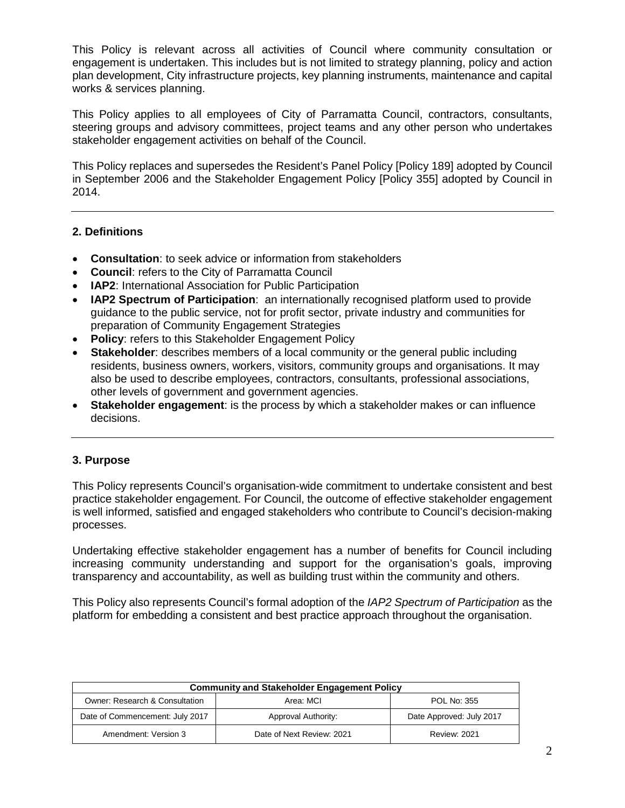This Policy is relevant across all activities of Council where community consultation or engagement is undertaken. This includes but is not limited to strategy planning, policy and action plan development, City infrastructure projects, key planning instruments, maintenance and capital works & services planning.

This Policy applies to all employees of City of Parramatta Council, contractors, consultants, steering groups and advisory committees, project teams and any other person who undertakes stakeholder engagement activities on behalf of the Council.

This Policy replaces and supersedes the Resident's Panel Policy [Policy 189] adopted by Council in September 2006 and the Stakeholder Engagement Policy [Policy 355] adopted by Council in 2014.

## **2. Definitions**

- **Consultation**: to seek advice or information from stakeholders
- **Council:** refers to the City of Parramatta Council
- **IAP2:** International Association for Public Participation
- **IAP2 Spectrum of Participation**: an internationally recognised platform used to provide guidance to the public service, not for profit sector, private industry and communities for preparation of Community Engagement Strategies
- **Policy:** refers to this Stakeholder Engagement Policy
- **Stakeholder:** describes members of a local community or the general public including residents, business owners, workers, visitors, community groups and organisations. It may also be used to describe employees, contractors, consultants, professional associations, other levels of government and government agencies.
- **Stakeholder engagement**: is the process by which a stakeholder makes or can influence decisions.

# **3. Purpose**

This Policy represents Council's organisation-wide commitment to undertake consistent and best practice stakeholder engagement. For Council, the outcome of effective stakeholder engagement is well informed, satisfied and engaged stakeholders who contribute to Council's decision-making processes.

Undertaking effective stakeholder engagement has a number of benefits for Council including increasing community understanding and support for the organisation's goals, improving transparency and accountability, as well as building trust within the community and others.

This Policy also represents Council's formal adoption of the *IAP2 Spectrum of Participation* as the platform for embedding a consistent and best practice approach throughout the organisation.

| <b>Community and Stakeholder Engagement Policy</b> |                           |                          |  |
|----------------------------------------------------|---------------------------|--------------------------|--|
| Owner: Research & Consultation                     | Area: MCI                 | POL No: 355              |  |
| Date of Commencement: July 2017                    | Approval Authority:       | Date Approved: July 2017 |  |
| Amendment: Version 3                               | Date of Next Review: 2021 | <b>Review: 2021</b>      |  |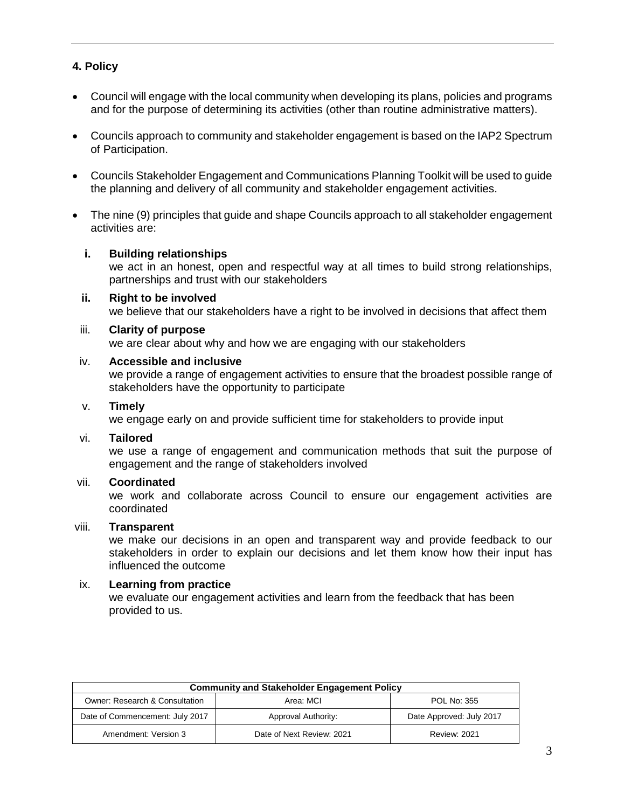# **4. Policy**

- Council will engage with the local community when developing its plans, policies and programs and for the purpose of determining its activities (other than routine administrative matters).
- Councils approach to community and stakeholder engagement is based on the IAP2 Spectrum of Participation.
- Councils Stakeholder Engagement and Communications Planning Toolkit will be used to guide the planning and delivery of all community and stakeholder engagement activities.
- The nine (9) principles that quide and shape Councils approach to all stakeholder engagement activities are:

### **i. Building relationships**

we act in an honest, open and respectful way at all times to build strong relationships, partnerships and trust with our stakeholders

**ii. Right to be involved** we believe that our stakeholders have a right to be involved in decisions that affect them

#### iii. **Clarity of purpose**

we are clear about why and how we are engaging with our stakeholders

#### iv. **Accessible and inclusive**

we provide a range of engagement activities to ensure that the broadest possible range of stakeholders have the opportunity to participate

#### v. **Timely**

we engage early on and provide sufficient time for stakeholders to provide input

#### vi. **Tailored**

we use a range of engagement and communication methods that suit the purpose of engagement and the range of stakeholders involved

#### vii. **Coordinated**

we work and collaborate across Council to ensure our engagement activities are coordinated

#### viii. **Transparent**

we make our decisions in an open and transparent way and provide feedback to our stakeholders in order to explain our decisions and let them know how their input has influenced the outcome

#### ix. **Learning from practice**

we evaluate our engagement activities and learn from the feedback that has been provided to us.

| <b>Community and Stakeholder Engagement Policy</b> |                           |                          |  |
|----------------------------------------------------|---------------------------|--------------------------|--|
| Owner: Research & Consultation                     | Area: MCL                 | POL No: 355              |  |
| Date of Commencement: July 2017                    | Approval Authority:       | Date Approved: July 2017 |  |
| Amendment: Version 3                               | Date of Next Review: 2021 | <b>Review: 2021</b>      |  |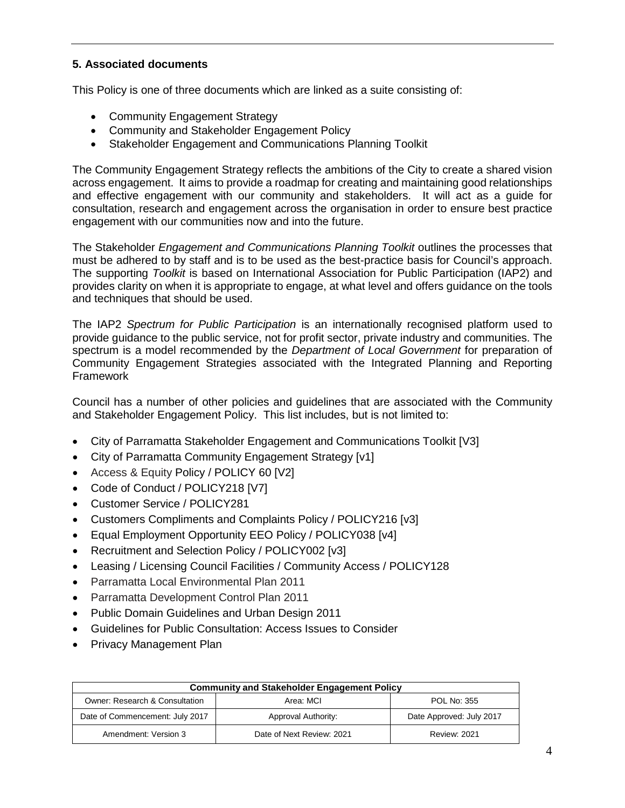# **5. Associated documents**

This Policy is one of three documents which are linked as a suite consisting of:

- Community Engagement Strategy
- Community and Stakeholder Engagement Policy
- Stakeholder Engagement and Communications Planning Toolkit

The Community Engagement Strategy reflects the ambitions of the City to create a shared vision across engagement. It aims to provide a roadmap for creating and maintaining good relationships and effective engagement with our community and stakeholders. It will act as a guide for consultation, research and engagement across the organisation in order to ensure best practice engagement with our communities now and into the future.

The Stakeholder *Engagement and Communications Planning Toolkit* outlines the processes that must be adhered to by staff and is to be used as the best-practice basis for Council's approach. The supporting *Toolkit* is based on International Association for Public Participation (IAP2) and provides clarity on when it is appropriate to engage, at what level and offers guidance on the tools and techniques that should be used.

The IAP2 *Spectrum for Public Participation* is an internationally recognised platform used to provide guidance to the public service, not for profit sector, private industry and communities. The spectrum is a model recommended by the *Department of Local Government* for preparation of Community Engagement Strategies associated with the Integrated Planning and Reporting Framework

Council has a number of other policies and guidelines that are associated with the Community and Stakeholder Engagement Policy. This list includes, but is not limited to:

- City of Parramatta Stakeholder Engagement and Communications Toolkit [V3]
- City of Parramatta Community Engagement Strategy [v1]
- Access & Equity Policy / POLICY 60 [V2]
- Code of Conduct / POLICY218 [V7]
- Customer Service / POLICY281
- Customers Compliments and Complaints Policy / POLICY216 [v3]
- Equal Employment Opportunity EEO Policy / POLICY038 [v4]
- Recruitment and Selection Policy / POLICY002 [v3]
- Leasing / Licensing Council Facilities / Community Access / POLICY128
- Parramatta Local Environmental Plan 2011
- Parramatta Development Control Plan 2011
- Public Domain Guidelines and Urban Design 2011
- Guidelines for Public Consultation: Access Issues to Consider
- Privacy Management Plan

| <b>Community and Stakeholder Engagement Policy</b> |                           |                          |  |
|----------------------------------------------------|---------------------------|--------------------------|--|
| Owner: Research & Consultation                     | Area: MCL                 | POL No: 355              |  |
| Date of Commencement: July 2017                    | Approval Authority:       | Date Approved: July 2017 |  |
| Amendment: Version 3                               | Date of Next Review: 2021 | <b>Review: 2021</b>      |  |